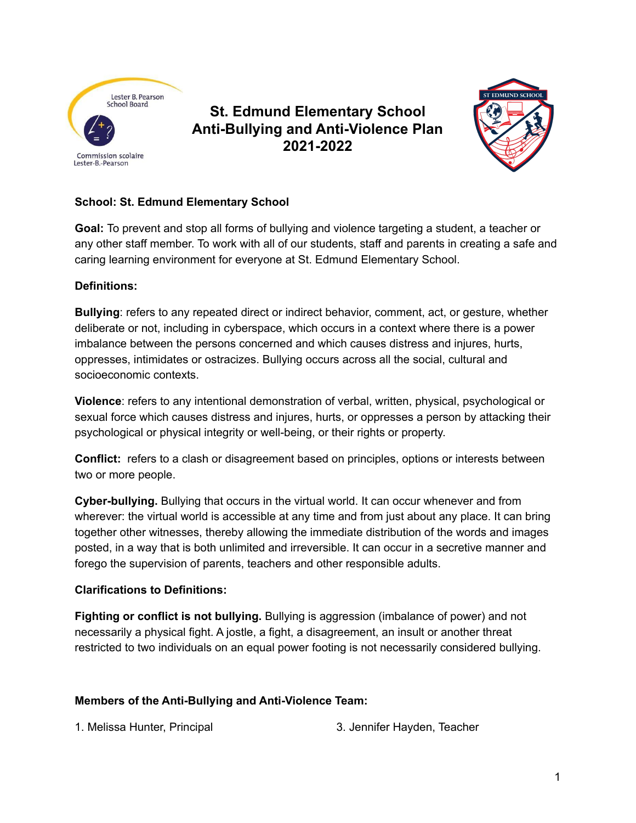

**St. Edmund Elementary School Anti-Bullying and Anti-Violence Plan 2021-2022**



## **School: St. Edmund Elementary School**

**Goal:** To prevent and stop all forms of bullying and violence targeting a student, a teacher or any other staff member. To work with all of our students, staff and parents in creating a safe and caring learning environment for everyone at St. Edmund Elementary School.

### **Definitions:**

**Bullying**: refers to any repeated direct or indirect behavior, comment, act, or gesture, whether deliberate or not, including in cyberspace, which occurs in a context where there is a power imbalance between the persons concerned and which causes distress and injures, hurts, oppresses, intimidates or ostracizes. Bullying occurs across all the social, cultural and socioeconomic contexts.

**Violence**: refers to any intentional demonstration of verbal, written, physical, psychological or sexual force which causes distress and injures, hurts, or oppresses a person by attacking their psychological or physical integrity or well-being, or their rights or property.

**Conflict:** refers to a clash or disagreement based on principles, options or interests between two or more people.

**Cyber-bullying.** Bullying that occurs in the virtual world. It can occur whenever and from wherever: the virtual world is accessible at any time and from just about any place. It can bring together other witnesses, thereby allowing the immediate distribution of the words and images posted, in a way that is both unlimited and irreversible. It can occur in a secretive manner and forego the supervision of parents, teachers and other responsible adults.

### **Clarifications to Definitions:**

**Fighting or conflict is not bullying.** Bullying is aggression (imbalance of power) and not necessarily a physical fight. A jostle, a fight, a disagreement, an insult or another threat restricted to two individuals on an equal power footing is not necessarily considered bullying.

### **Members of the Anti-Bullying and Anti-Violence Team:**

1. Melissa Hunter, Principal 3. Jennifer Hayden, Teacher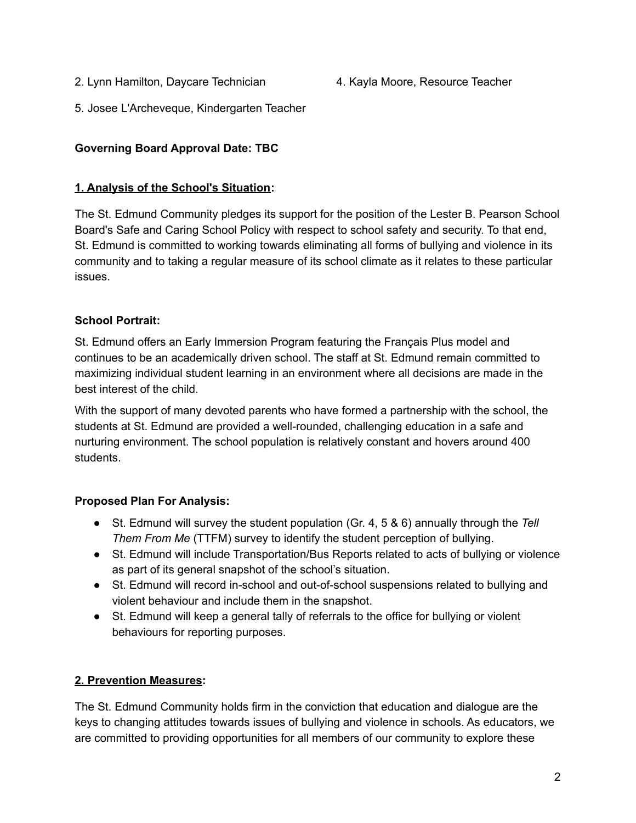2. Lynn Hamilton, Daycare Technician 4. Kayla Moore, Resource Teacher

5. Josee L'Archeveque, Kindergarten Teacher

## **Governing Board Approval Date: TBC**

#### **1. Analysis of the School's Situation:**

The St. Edmund Community pledges its support for the position of the Lester B. Pearson School Board's Safe and Caring School Policy with respect to school safety and security. To that end, St. Edmund is committed to working towards eliminating all forms of bullying and violence in its community and to taking a regular measure of its school climate as it relates to these particular issues.

### **School Portrait:**

St. Edmund offers an Early Immersion Program featuring the Français Plus model and continues to be an academically driven school. The staff at St. Edmund remain committed to maximizing individual student learning in an environment where all decisions are made in the best interest of the child.

With the support of many devoted parents who have formed a partnership with the school, the students at St. Edmund are provided a well-rounded, challenging education in a safe and nurturing environment. The school population is relatively constant and hovers around 400 students.

### **Proposed Plan For Analysis:**

- St. Edmund will survey the student population (Gr. 4, 5 & 6) annually through the *Tell Them From Me* (TTFM) survey to identify the student perception of bullying.
- St. Edmund will include Transportation/Bus Reports related to acts of bullying or violence as part of its general snapshot of the school's situation.
- St. Edmund will record in-school and out-of-school suspensions related to bullying and violent behaviour and include them in the snapshot.
- St. Edmund will keep a general tally of referrals to the office for bullying or violent behaviours for reporting purposes.

### **2. Prevention Measures:**

The St. Edmund Community holds firm in the conviction that education and dialogue are the keys to changing attitudes towards issues of bullying and violence in schools. As educators, we are committed to providing opportunities for all members of our community to explore these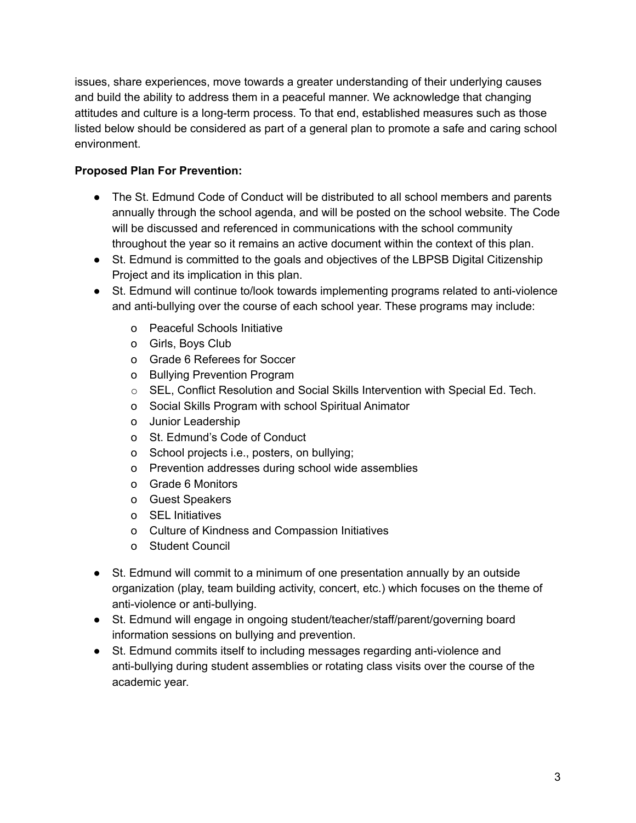issues, share experiences, move towards a greater understanding of their underlying causes and build the ability to address them in a peaceful manner. We acknowledge that changing attitudes and culture is a long-term process. To that end, established measures such as those listed below should be considered as part of a general plan to promote a safe and caring school environment.

## **Proposed Plan For Prevention:**

- The St. Edmund Code of Conduct will be distributed to all school members and parents annually through the school agenda, and will be posted on the school website. The Code will be discussed and referenced in communications with the school community throughout the year so it remains an active document within the context of this plan.
- St. Edmund is committed to the goals and objectives of the LBPSB Digital Citizenship Project and its implication in this plan.
- St. Edmund will continue to/look towards implementing programs related to anti-violence and anti-bullying over the course of each school year. These programs may include:
	- o Peaceful Schools Initiative
	- o Girls, Boys Club
	- o Grade 6 Referees for Soccer
	- o Bullying Prevention Program
	- $\circ$  SEL, Conflict Resolution and Social Skills Intervention with Special Ed. Tech.
	- o Social Skills Program with school Spiritual Animator
	- o Junior Leadership
	- o St. Edmund's Code of Conduct
	- o School projects i.e., posters, on bullying;
	- o Prevention addresses during school wide assemblies
	- o Grade 6 Monitors
	- o Guest Speakers
	- o SEL Initiatives
	- o Culture of Kindness and Compassion Initiatives
	- o Student Council
- St. Edmund will commit to a minimum of one presentation annually by an outside organization (play, team building activity, concert, etc.) which focuses on the theme of anti-violence or anti-bullying.
- St. Edmund will engage in ongoing student/teacher/staff/parent/governing board information sessions on bullying and prevention.
- St. Edmund commits itself to including messages regarding anti-violence and anti-bullying during student assemblies or rotating class visits over the course of the academic year.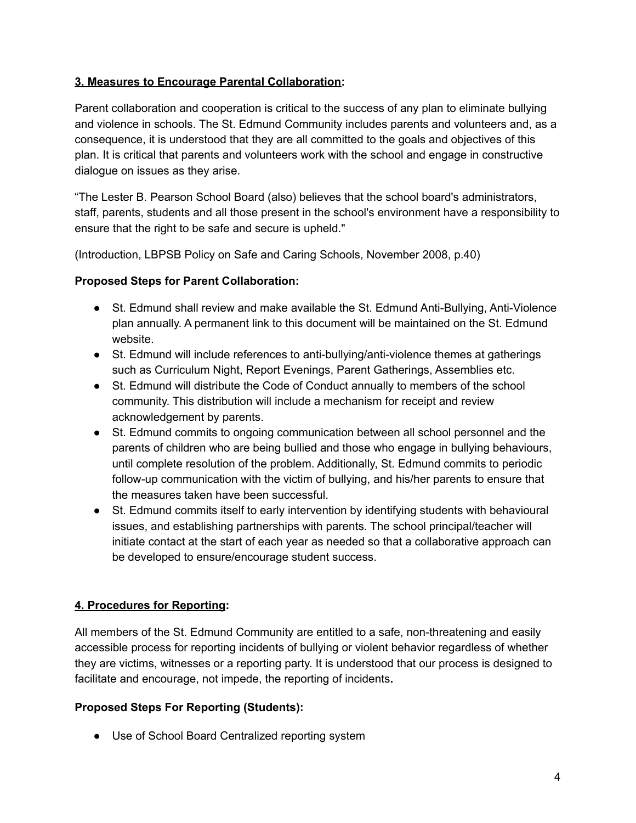### **3. Measures to Encourage Parental Collaboration:**

Parent collaboration and cooperation is critical to the success of any plan to eliminate bullying and violence in schools. The St. Edmund Community includes parents and volunteers and, as a consequence, it is understood that they are all committed to the goals and objectives of this plan. It is critical that parents and volunteers work with the school and engage in constructive dialogue on issues as they arise.

"The Lester B. Pearson School Board (also) believes that the school board's administrators, staff, parents, students and all those present in the school's environment have a responsibility to ensure that the right to be safe and secure is upheld."

(Introduction, LBPSB Policy on Safe and Caring Schools, November 2008, p.40)

#### **Proposed Steps for Parent Collaboration:**

- St. Edmund shall review and make available the St. Edmund Anti-Bullying, Anti-Violence plan annually. A permanent link to this document will be maintained on the St. Edmund website.
- St. Edmund will include references to anti-bullying/anti-violence themes at gatherings such as Curriculum Night, Report Evenings, Parent Gatherings, Assemblies etc.
- St. Edmund will distribute the Code of Conduct annually to members of the school community. This distribution will include a mechanism for receipt and review acknowledgement by parents.
- St. Edmund commits to ongoing communication between all school personnel and the parents of children who are being bullied and those who engage in bullying behaviours, until complete resolution of the problem. Additionally, St. Edmund commits to periodic follow-up communication with the victim of bullying, and his/her parents to ensure that the measures taken have been successful.
- St. Edmund commits itself to early intervention by identifying students with behavioural issues, and establishing partnerships with parents. The school principal/teacher will initiate contact at the start of each year as needed so that a collaborative approach can be developed to ensure/encourage student success.

### **4. Procedures for Reporting:**

All members of the St. Edmund Community are entitled to a safe, non-threatening and easily accessible process for reporting incidents of bullying or violent behavior regardless of whether they are victims, witnesses or a reporting party. It is understood that our process is designed to facilitate and encourage, not impede, the reporting of incidents**.**

### **Proposed Steps For Reporting (Students):**

● Use of School Board Centralized reporting system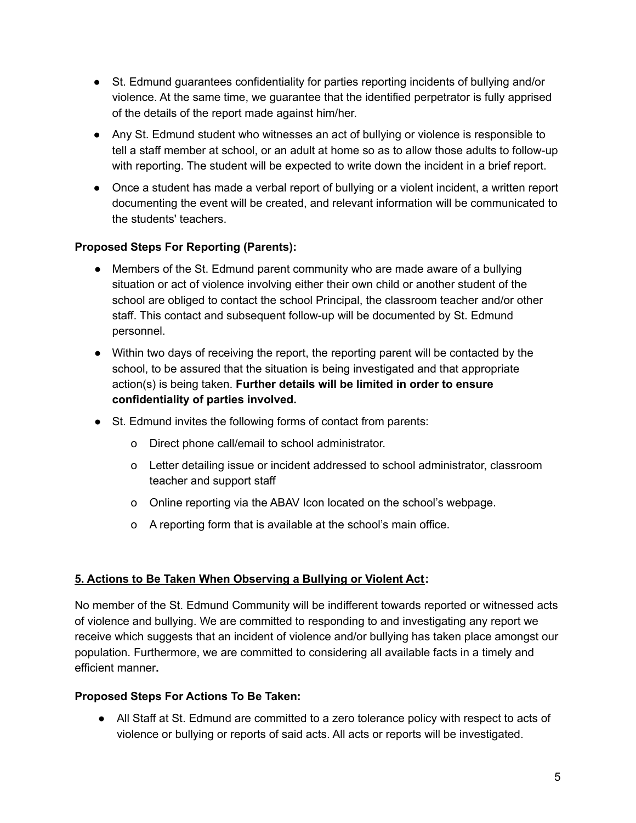- St. Edmund guarantees confidentiality for parties reporting incidents of bullying and/or violence. At the same time, we guarantee that the identified perpetrator is fully apprised of the details of the report made against him/her.
- Any St. Edmund student who witnesses an act of bullying or violence is responsible to tell a staff member at school, or an adult at home so as to allow those adults to follow-up with reporting. The student will be expected to write down the incident in a brief report.
- Once a student has made a verbal report of bullying or a violent incident, a written report documenting the event will be created, and relevant information will be communicated to the students' teachers.

### **Proposed Steps For Reporting (Parents):**

- Members of the St. Edmund parent community who are made aware of a bullying situation or act of violence involving either their own child or another student of the school are obliged to contact the school Principal, the classroom teacher and/or other staff. This contact and subsequent follow-up will be documented by St. Edmund personnel.
- Within two days of receiving the report, the reporting parent will be contacted by the school, to be assured that the situation is being investigated and that appropriate action(s) is being taken. **Further details will be limited in order to ensure confidentiality of parties involved.**
- St. Edmund invites the following forms of contact from parents:
	- o Direct phone call/email to school administrator.
	- o Letter detailing issue or incident addressed to school administrator, classroom teacher and support staff
	- o Online reporting via the ABAV Icon located on the school's webpage.
	- o A reporting form that is available at the school's main office.

# **5. Actions to Be Taken When Observing a Bullying or Violent Act:**

No member of the St. Edmund Community will be indifferent towards reported or witnessed acts of violence and bullying. We are committed to responding to and investigating any report we receive which suggests that an incident of violence and/or bullying has taken place amongst our population. Furthermore, we are committed to considering all available facts in a timely and efficient manner**.**

### **Proposed Steps For Actions To Be Taken:**

● All Staff at St. Edmund are committed to a zero tolerance policy with respect to acts of violence or bullying or reports of said acts. All acts or reports will be investigated.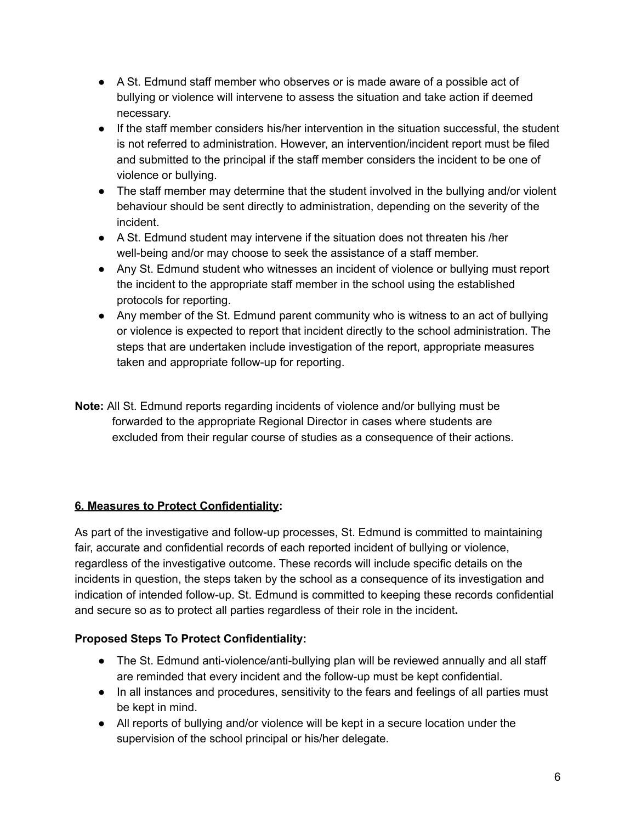- A St. Edmund staff member who observes or is made aware of a possible act of bullying or violence will intervene to assess the situation and take action if deemed necessary.
- If the staff member considers his/her intervention in the situation successful, the student is not referred to administration. However, an intervention/incident report must be filed and submitted to the principal if the staff member considers the incident to be one of violence or bullying.
- The staff member may determine that the student involved in the bullying and/or violent behaviour should be sent directly to administration, depending on the severity of the incident.
- A St. Edmund student may intervene if the situation does not threaten his /her well-being and/or may choose to seek the assistance of a staff member.
- Any St. Edmund student who witnesses an incident of violence or bullying must report the incident to the appropriate staff member in the school using the established protocols for reporting.
- Any member of the St. Edmund parent community who is witness to an act of bullying or violence is expected to report that incident directly to the school administration. The steps that are undertaken include investigation of the report, appropriate measures taken and appropriate follow-up for reporting.
- **Note:** All St. Edmund reports regarding incidents of violence and/or bullying must be forwarded to the appropriate Regional Director in cases where students are excluded from their regular course of studies as a consequence of their actions.

# **6. Measures to Protect Confidentiality:**

As part of the investigative and follow-up processes, St. Edmund is committed to maintaining fair, accurate and confidential records of each reported incident of bullying or violence, regardless of the investigative outcome. These records will include specific details on the incidents in question, the steps taken by the school as a consequence of its investigation and indication of intended follow-up. St. Edmund is committed to keeping these records confidential and secure so as to protect all parties regardless of their role in the incident**.**

# **Proposed Steps To Protect Confidentiality:**

- The St. Edmund anti-violence/anti-bullying plan will be reviewed annually and all staff are reminded that every incident and the follow-up must be kept confidential.
- In all instances and procedures, sensitivity to the fears and feelings of all parties must be kept in mind.
- All reports of bullying and/or violence will be kept in a secure location under the supervision of the school principal or his/her delegate.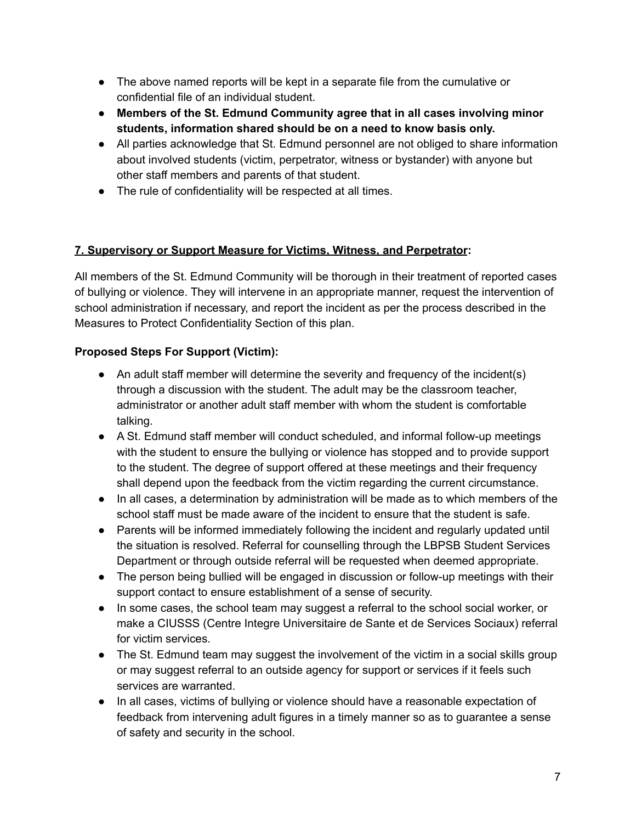- The above named reports will be kept in a separate file from the cumulative or confidential file of an individual student.
- **Members of the St. Edmund Community agree that in all cases involving minor students, information shared should be on a need to know basis only.**
- All parties acknowledge that St. Edmund personnel are not obliged to share information about involved students (victim, perpetrator, witness or bystander) with anyone but other staff members and parents of that student.
- The rule of confidentiality will be respected at all times.

## **7. Supervisory or Support Measure for Victims, Witness, and Perpetrator:**

All members of the St. Edmund Community will be thorough in their treatment of reported cases of bullying or violence. They will intervene in an appropriate manner, request the intervention of school administration if necessary, and report the incident as per the process described in the Measures to Protect Confidentiality Section of this plan.

## **Proposed Steps For Support (Victim):**

- An adult staff member will determine the severity and frequency of the incident(s) through a discussion with the student. The adult may be the classroom teacher, administrator or another adult staff member with whom the student is comfortable talking.
- A St. Edmund staff member will conduct scheduled, and informal follow-up meetings with the student to ensure the bullying or violence has stopped and to provide support to the student. The degree of support offered at these meetings and their frequency shall depend upon the feedback from the victim regarding the current circumstance.
- In all cases, a determination by administration will be made as to which members of the school staff must be made aware of the incident to ensure that the student is safe.
- Parents will be informed immediately following the incident and regularly updated until the situation is resolved. Referral for counselling through the LBPSB Student Services Department or through outside referral will be requested when deemed appropriate.
- The person being bullied will be engaged in discussion or follow-up meetings with their support contact to ensure establishment of a sense of security.
- In some cases, the school team may suggest a referral to the school social worker, or make a CIUSSS (Centre Integre Universitaire de Sante et de Services Sociaux) referral for victim services.
- The St. Edmund team may suggest the involvement of the victim in a social skills group or may suggest referral to an outside agency for support or services if it feels such services are warranted.
- In all cases, victims of bullying or violence should have a reasonable expectation of feedback from intervening adult figures in a timely manner so as to guarantee a sense of safety and security in the school.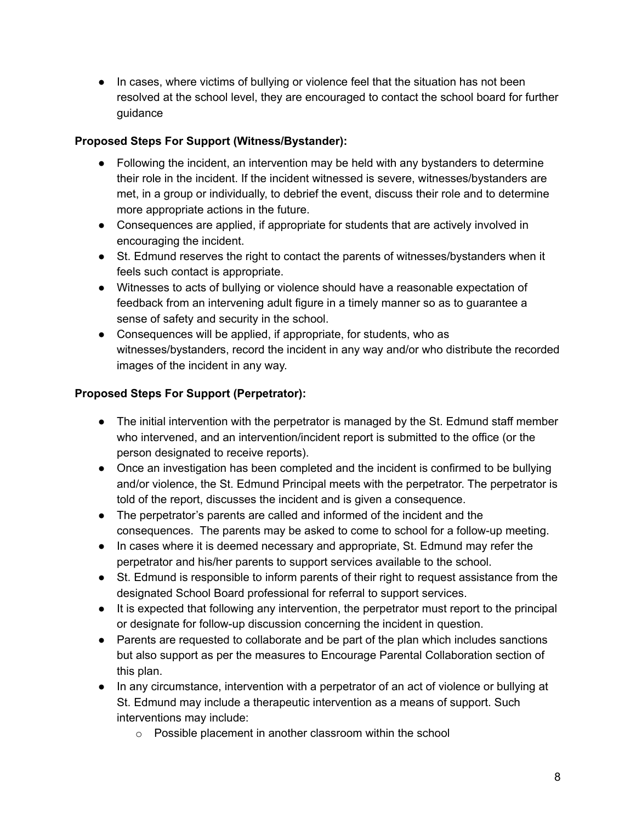● In cases, where victims of bullying or violence feel that the situation has not been resolved at the school level, they are encouraged to contact the school board for further guidance

## **Proposed Steps For Support (Witness/Bystander):**

- Following the incident, an intervention may be held with any bystanders to determine their role in the incident. If the incident witnessed is severe, witnesses/bystanders are met, in a group or individually, to debrief the event, discuss their role and to determine more appropriate actions in the future.
- Consequences are applied, if appropriate for students that are actively involved in encouraging the incident.
- St. Edmund reserves the right to contact the parents of witnesses/bystanders when it feels such contact is appropriate.
- Witnesses to acts of bullying or violence should have a reasonable expectation of feedback from an intervening adult figure in a timely manner so as to guarantee a sense of safety and security in the school.
- Consequences will be applied, if appropriate, for students, who as witnesses/bystanders, record the incident in any way and/or who distribute the recorded images of the incident in any way.

## **Proposed Steps For Support (Perpetrator):**

- The initial intervention with the perpetrator is managed by the St. Edmund staff member who intervened, and an intervention/incident report is submitted to the office (or the person designated to receive reports).
- Once an investigation has been completed and the incident is confirmed to be bullying and/or violence, the St. Edmund Principal meets with the perpetrator. The perpetrator is told of the report, discusses the incident and is given a consequence.
- The perpetrator's parents are called and informed of the incident and the consequences. The parents may be asked to come to school for a follow-up meeting.
- In cases where it is deemed necessary and appropriate, St. Edmund may refer the perpetrator and his/her parents to support services available to the school.
- St. Edmund is responsible to inform parents of their right to request assistance from the designated School Board professional for referral to support services.
- It is expected that following any intervention, the perpetrator must report to the principal or designate for follow-up discussion concerning the incident in question.
- Parents are requested to collaborate and be part of the plan which includes sanctions but also support as per the measures to Encourage Parental Collaboration section of this plan.
- In any circumstance, intervention with a perpetrator of an act of violence or bullying at St. Edmund may include a therapeutic intervention as a means of support. Such interventions may include:
	- o Possible placement in another classroom within the school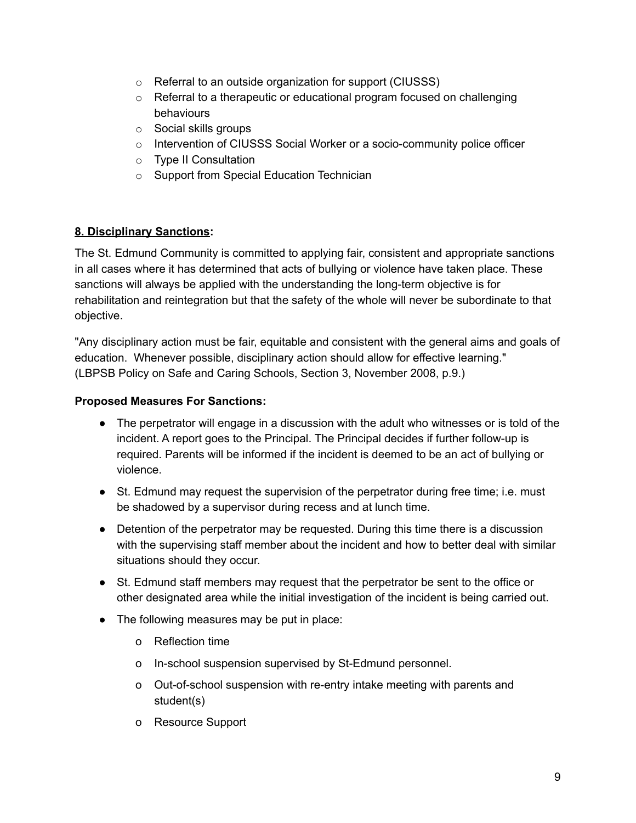- o Referral to an outside organization for support (CIUSSS)
- o Referral to a therapeutic or educational program focused on challenging behaviours
- o Social skills groups
- $\circ$  Intervention of CIUSSS Social Worker or a socio-community police officer
- o Type II Consultation
- o Support from Special Education Technician

### **8. Disciplinary Sanctions:**

The St. Edmund Community is committed to applying fair, consistent and appropriate sanctions in all cases where it has determined that acts of bullying or violence have taken place. These sanctions will always be applied with the understanding the long-term objective is for rehabilitation and reintegration but that the safety of the whole will never be subordinate to that objective.

"Any disciplinary action must be fair, equitable and consistent with the general aims and goals of education. Whenever possible, disciplinary action should allow for effective learning." (LBPSB Policy on Safe and Caring Schools, Section 3, November 2008, p.9.)

#### **Proposed Measures For Sanctions:**

- The perpetrator will engage in a discussion with the adult who witnesses or is told of the incident. A report goes to the Principal. The Principal decides if further follow-up is required. Parents will be informed if the incident is deemed to be an act of bullying or violence.
- St. Edmund may request the supervision of the perpetrator during free time; i.e. must be shadowed by a supervisor during recess and at lunch time.
- Detention of the perpetrator may be requested. During this time there is a discussion with the supervising staff member about the incident and how to better deal with similar situations should they occur.
- St. Edmund staff members may request that the perpetrator be sent to the office or other designated area while the initial investigation of the incident is being carried out.
- The following measures may be put in place:
	- o Reflection time
	- o In-school suspension supervised by St-Edmund personnel.
	- o Out-of-school suspension with re-entry intake meeting with parents and student(s)
	- o Resource Support